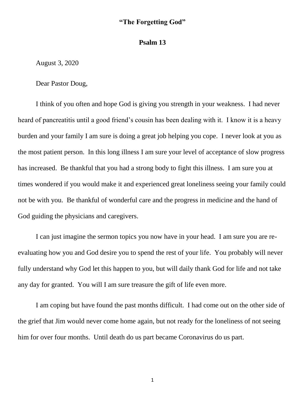## **"The Forgetting God"**

## **Psalm 13**

August 3, 2020

Dear Pastor Doug,

I think of you often and hope God is giving you strength in your weakness. I had never heard of pancreatitis until a good friend's cousin has been dealing with it. I know it is a heavy burden and your family I am sure is doing a great job helping you cope. I never look at you as the most patient person. In this long illness I am sure your level of acceptance of slow progress has increased. Be thankful that you had a strong body to fight this illness. I am sure you at times wondered if you would make it and experienced great loneliness seeing your family could not be with you. Be thankful of wonderful care and the progress in medicine and the hand of God guiding the physicians and caregivers.

I can just imagine the sermon topics you now have in your head. I am sure you are reevaluating how you and God desire you to spend the rest of your life. You probably will never fully understand why God let this happen to you, but will daily thank God for life and not take any day for granted. You will I am sure treasure the gift of life even more.

I am coping but have found the past months difficult. I had come out on the other side of the grief that Jim would never come home again, but not ready for the loneliness of not seeing him for over four months. Until death do us part became Coronavirus do us part.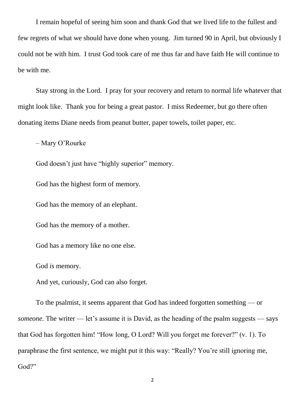I remain hopeful of seeing him soon and thank God that we lived life to the fullest and few regrets of what we should have done when young. Jim turned 90 in April, but obviously I could not be with him. I trust God took care of me thus far and have faith He will continue to be with me.

Stay strong in the Lord. I pray for your recovery and return to normal life whatever that might look like. Thank you for being a great pastor. I miss Redeemer, but go there often donating items Diane needs from peanut butter, paper towels, toilet paper, etc.

– Mary O'Rourke

God doesn't just have "highly superior" memory.

God has the highest form of memory.

God has the memory of an elephant.

God has the memory of a mother.

God has a memory like no one else.

God *is* memory.

And yet, curiously, God can also forget.

To the psalmist, it seems apparent that God has indeed forgotten something — or *someone.* The writer — let's assume it is David, as the heading of the psalm suggests — says that God has forgotten him! "How long, O Lord? Will you forget me forever?" (v. 1). To paraphrase the first sentence, we might put it this way: "Really? You're still ignoring me, God?"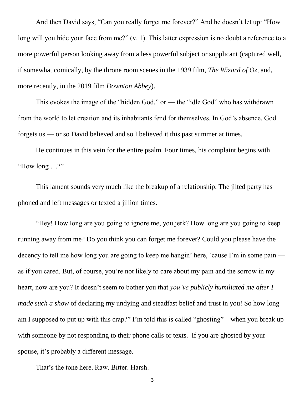And then David says, "Can you really forget me forever?" And he doesn't let up: "How long will you hide your face from me?" (v. 1). This latter expression is no doubt a reference to a more powerful person looking away from a less powerful subject or supplicant (captured well, if somewhat comically, by the throne room scenes in the 1939 film, *The Wizard of Oz,* and, more recently, in the 2019 film *Downton Abbey*).

This evokes the image of the "hidden God," or — the "idle God" who has withdrawn from the world to let creation and its inhabitants fend for themselves. In God's absence, God forgets us — or so David believed and so I believed it this past summer at times.

He continues in this vein for the entire psalm. Four times, his complaint begins with "How long …?"

This lament sounds very much like the breakup of a relationship. The jilted party has phoned and left messages or texted a jillion times.

"Hey! How long are you going to ignore me, you jerk? How long are you going to keep running away from me? Do you think you can forget me forever? Could you please have the decency to tell me how long you are going to keep me hangin' here, 'cause I'm in some pain as if you cared. But, of course, you're not likely to care about my pain and the sorrow in my heart, now are you? It doesn't seem to bother you that *you've publicly humiliated me after I made such a show* of declaring my undying and steadfast belief and trust in you! So how long am I supposed to put up with this crap?" I'm told this is called "ghosting" – when you break up with someone by not responding to their phone calls or texts. If you are ghosted by your spouse, it's probably a different message.

That's the tone here. Raw. Bitter. Harsh.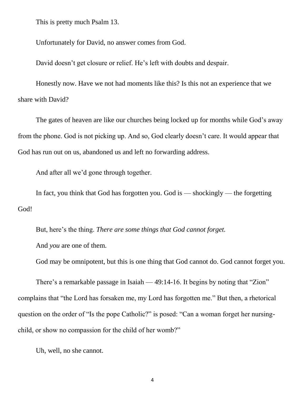This is pretty much Psalm 13.

Unfortunately for David, no answer comes from God.

David doesn't get closure or relief. He's left with doubts and despair.

Honestly now. Have we not had moments like this? Is this not an experience that we share with David?

The gates of heaven are like our churches being locked up for months while God's away from the phone. God is not picking up. And so, God clearly doesn't care. It would appear that God has run out on us, abandoned us and left no forwarding address.

And after all we'd gone through together.

In fact, you think that God has forgotten you. God is — shockingly — the forgetting God!

But, here's the thing. *There are some things that God cannot forget.* And *you* are one of them.

God may be omnipotent, but this is one thing that God cannot do. God cannot forget you.

There's a remarkable passage in Isaiah — 49:14-16. It begins by noting that "Zion" complains that "the Lord has forsaken me, my Lord has forgotten me." But then, a rhetorical question on the order of "Is the pope Catholic?" is posed: "Can a woman forget her nursingchild, or show no compassion for the child of her womb?"

Uh, well, no she cannot.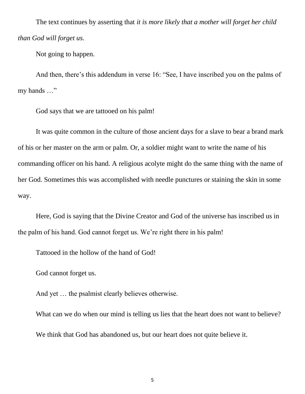The text continues by asserting that *it is more likely that a mother will forget her child than God will forget us.*

Not going to happen.

And then, there's this addendum in verse 16: "See, I have inscribed you on the palms of my hands …"

God says that we are tattooed on his palm!

It was quite common in the culture of those ancient days for a slave to bear a brand mark of his or her master on the arm or palm. Or, a soldier might want to write the name of his commanding officer on his hand. A religious acolyte might do the same thing with the name of her God. Sometimes this was accomplished with needle punctures or staining the skin in some way.

Here, God is saying that the Divine Creator and God of the universe has inscribed us in the palm of his hand. God cannot forget us. We're right there in his palm!

Tattooed in the hollow of the hand of God!

God cannot forget us.

And yet … the psalmist clearly believes otherwise.

What can we do when our mind is telling us lies that the heart does not want to believe? We think that God has abandoned us, but our heart does not quite believe it.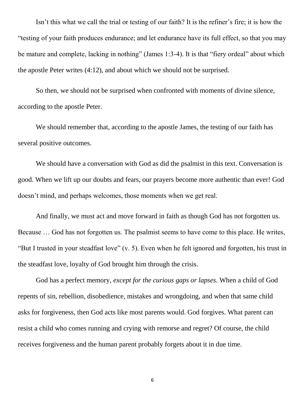Isn't this what we call the trial or testing of our faith? It is the refiner's fire; it is how the "testing of your faith produces endurance; and let endurance have its full effect, so that you may be mature and complete, lacking in nothing" (James 1:3-4). It is that "fiery ordeal" about which the apostle Peter writes (4:12), and about which we should not be surprised.

So then, we should not be surprised when confronted with moments of divine silence, according to the apostle Peter.

We should remember that, according to the apostle James, the testing of our faith has several positive outcomes.

We should have a conversation with God as did the psalmist in this text. Conversation is good. When we lift up our doubts and fears, our prayers become more authentic than ever! God doesn't mind, and perhaps welcomes, those moments when we get real.

And finally, we must act and move forward in faith as though God has not forgotten us. Because … God has not forgotten us. The psalmist seems to have come to this place. He writes, "But I trusted in your steadfast love" (v. 5). Even when he felt ignored and forgotten, his trust in the steadfast love, loyalty of God brought him through the crisis.

God has a perfect memory, *except for the curious gaps or lapses*. When a child of God repents of sin, rebellion, disobedience, mistakes and wrongdoing, and when that same child asks for forgiveness, then God acts like most parents would. God forgives. What parent can resist a child who comes running and crying with remorse and regret? Of course, the child receives forgiveness and the human parent probably forgets about it in due time.

6